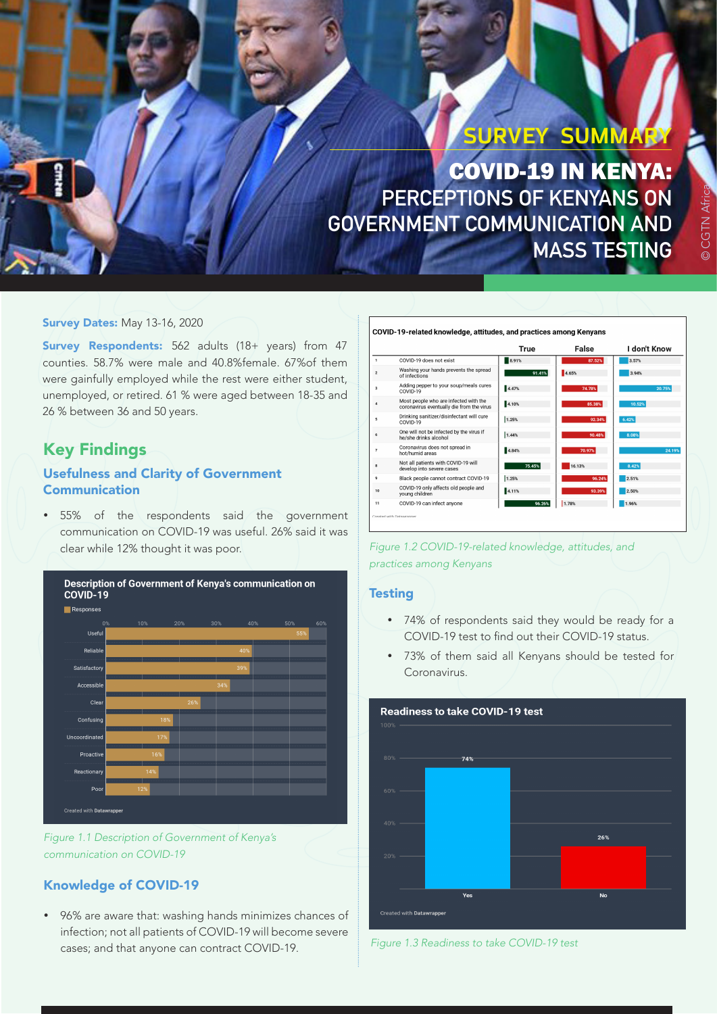# **SURVEY SUMMARY**

COVID-19 IN KENYA: **PERCEPTIONS OF KENYANS ON GOVERNMENT COMMUNICATION AND MASS TESTING**

## **Survey Dates: May 13-16, 2020**

Survey Respondents: 562 adults (18+ years) from 47 counties. 58.7% were male and 40.8%female. 67%of them were gainfully employed while the rest were either student, unemployed, or retired. 61 % were aged between 18-35 and 26 % between 36 and 50 years.

## Key Findings

## Usefulness and Clarity of Government Communication

55% of the respondents said the government communication on COVID-19 was useful. 26% said it was clear while 12% thought it was poor.





## Knowledge of COVID-19

• 96% are aware that: washing hands minimizes chances of infection; not all patients of COVID-19 will become severe cases; and that anyone can contract COVID-19.

#### COVID-19-related knowledge, attitudes, and practices among Kenyans

|                          |                                                                                    | True   | False  | I don't Know |
|--------------------------|------------------------------------------------------------------------------------|--------|--------|--------------|
|                          | COVID-19 does not exist                                                            | 8.91%  | 87.52% | 3.57%        |
| $\mathbf 2$              | Washing your hands prevents the spread<br>of infections                            | 91.41% | 4.65%  | 3.94%        |
| 3                        | Adding pepper to your soup/meals cures<br>COVID-19                                 | 4.47%  | 74.78% | 20.75%       |
| $\Delta$                 | Most people who are infected with the<br>coronavirus eventually die from the virus | 4.10%  | 85.38% | 10.52%       |
| к                        | Drinking sanitizer/disinfectant will cure<br>COVID-19                              | 1.25%  | 92.34% | 6.42%        |
| 6                        | One will not be infected by the virus if<br>he/she drinks alcohol                  | 1.44%  | 90.48% | 8.08%        |
| $\overline{7}$           | Coronavirus does not spread in<br>hot/humid areas                                  | 4.84%  | 70.97% | 24.19%       |
| 8                        | Not all patients with COVID-19 will<br>develop into severe cases                   | 75.45% | 16.13% | 8.42%        |
| 9                        | Black people cannot contract COVID-19                                              | 1.25%  | 96.24% | 2.51%        |
| 10                       | COVID-19 only affects old people and<br>voung children                             | 4.11%  | 93.39% | 2.50%        |
| 11                       | COVID-19 can infect anyone                                                         | 96.26% | 1.78%  | 1.96%        |
| Created with Batawranner |                                                                                    |        |        |              |

*Figure 1.2 COVID-19-related knowledge, attitudes, and practices among Kenyans*

### **Testing**

- • 74% of respondents said they would be ready for a COVID-19 test to find out their COVID-19 status.
- • 73% of them said all Kenyans should be tested for Coronavirus.